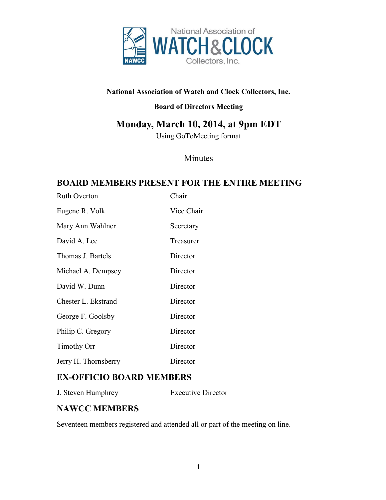

#### **National Association of Watch and Clock Collectors, Inc.**

#### **Board of Directors Meeting**

# **Monday, March 10, 2014, at 9pm EDT**

Using GoToMeeting format

### Minutes

### **BOARD MEMBERS PRESENT FOR THE ENTIRE MEETING**

| <b>Ruth Overton</b>  | Chair      |
|----------------------|------------|
| Eugene R. Volk       | Vice Chair |
| Mary Ann Wahlner     | Secretary  |
| David A. Lee         | Treasurer  |
| Thomas J. Bartels    | Director   |
| Michael A. Dempsey   | Director   |
| David W. Dunn        | Director   |
| Chester L. Ekstrand  | Director   |
| George F. Goolsby    | Director   |
| Philip C. Gregory    | Director   |
| <b>Timothy Orr</b>   | Director   |
| Jerry H. Thornsberry | Director   |

### **EX-OFFICIO BOARD MEMBERS**

J. Steven Humphrey Executive Director

### **NAWCC MEMBERS**

Seventeen members registered and attended all or part of the meeting on line.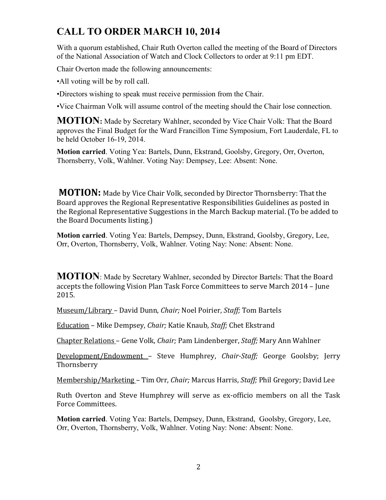# **CALL TO ORDER MARCH 10, 2014**

With a quorum established, Chair Ruth Overton called the meeting of the Board of Directors of the National Association of Watch and Clock Collectors to order at 9:11 pm EDT.

Chair Overton made the following announcements:

•All voting will be by roll call.

•Directors wishing to speak must receive permission from the Chair.

•Vice Chairman Volk will assume control of the meeting should the Chair lose connection.

**MOTION:** Made by Secretary Wahlner, seconded by Vice Chair Volk: That the Board approves the Final Budget for the Ward Francillon Time Symposium, Fort Lauderdale, FL to be held October 16-19, 2014.

**Motion carried**. Voting Yea: Bartels, Dunn, Ekstrand, Goolsby, Gregory, Orr, Overton, Thornsberry, Volk, Wahlner. Voting Nay: Dempsey, Lee: Absent: None.

**MOTION:** Made by Vice Chair Volk, seconded by Director Thornsberry: That the Board approves the Regional Representative Responsibilities Guidelines as posted in the Regional Representative Suggestions in the March Backup material. (To be added to the Board Documents listing.)

**Motion carried**. Voting Yea: Bartels, Dempsey, Dunn, Ekstrand, Goolsby, Gregory, Lee, Orr, Overton, Thornsberry, Volk, Wahlner. Voting Nay: None: Absent: None.

**MOTION**: Made by Secretary Wahlner, seconded by Director Bartels: That the Board accepts the following Vision Plan Task Force Committees to serve March 2014 – June 2015.

Museum/Library – David Dunn, *Chair;* Noel Poirier, *Staff;* Tom Bartels

Education – Mike Dempsey, *Chair;* Katie Knaub, *Staff;* Chet Ekstrand

Chapter Relations – Gene Volk, *Chair;* Pam Lindenberger, *Staff;* Mary Ann Wahlner

Development/Endowment – Steve Humphrey, *Chair-Staff;* George Goolsby; Jerry Thornsberry

Membership/Marketing – Tim Orr, *Chair;* Marcus Harris, *Staff;* Phil Gregory; David Lee

Ruth Overton and Steve Humphrey will serve as ex-officio members on all the Task Force Committees.

**Motion carried**. Voting Yea: Bartels, Dempsey, Dunn, Ekstrand, Goolsby, Gregory, Lee, Orr, Overton, Thornsberry, Volk, Wahlner. Voting Nay: None: Absent: None.